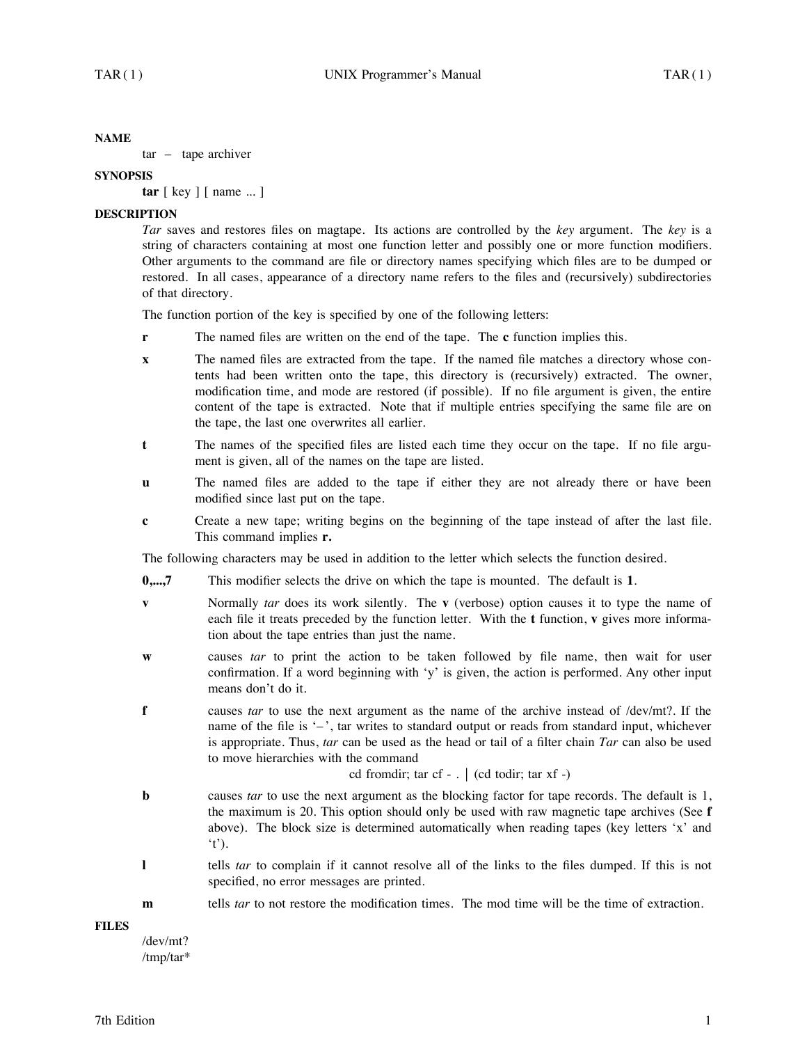#### **NAME**

tar – tape archiver

## **SYNOPSIS**

**tar** [ key ] [ name ... ]

## **DESCRIPTION**

*Tar* saves and restores files on magtape. Its actions are controlled by the *key* argument. The *key* is a string of characters containing at most one function letter and possibly one or more function modifiers. Other arguments to the command are file or directory names specifying which files are to be dumped or restored. In all cases, appearance of a directory name refers to the files and (recursively) subdirectories of that directory.

The function portion of the key is specified by one of the following letters:

- **r** The named files are written on the end of the tape. The **c** function implies this.
- **x** The named files are extracted from the tape. If the named file matches a directory whose contents had been written onto the tape, this directory is (recursively) extracted. The owner, modification time, and mode are restored (if possible). If no file argument is given, the entire content of the tape is extracted. Note that if multiple entries specifying the same file are on the tape, the last one overwrites all earlier.
- **t** The names of the specified files are listed each time they occur on the tape. If no file argument is given, all of the names on the tape are listed.
- **u** The named files are added to the tape if either they are not already there or have been modified since last put on the tape.
- **c** Create a new tape; writing begins on the beginning of the tape instead of after the last file. This command implies **r.**

The following characters may be used in addition to the letter which selects the function desired.

- **0,...,7** This modifier selects the drive on which the tape is mounted. The default is **1**.
- **v** Normally *tar* does its work silently. The **v** (verbose) option causes it to type the name of each file it treats preceded by the function letter. With the **t** function, **v** gives more information about the tape entries than just the name.
- **w** causes *tar* to print the action to be taken followed by file name, then wait for user confirmation. If a word beginning with 'y' is given, the action is performed. Any other input means don't do it.
- **f** causes *tar* to use the next argument as the name of the archive instead of /dev/mt?. If the name of the file is '-', tar writes to standard output or reads from standard input, whichever is appropriate. Thus, *tar* can be used as the head or tail of a filter chain *Tar* can also be used to move hierarchies with the command

cd fromdir; tar cf  $-$  .  $\vert$  (cd todir; tar xf  $-$ )

- **b** causes *tar* to use the next argument as the blocking factor for tape records. The default is 1, the maximum is 20. This option should only be used with raw magnetic tape archives (See **f** above). The block size is determined automatically when reading tapes (key letters 'x' and 't').
- **l** tells *tar* to complain if it cannot resolve all of the links to the files dumped. If this is not specified, no error messages are printed.
- **m** tells *tar* to not restore the modification times. The mod time will be the time of extraction.

**FILES**

<sup>/</sup>dev/mt? /tmp/tar\*